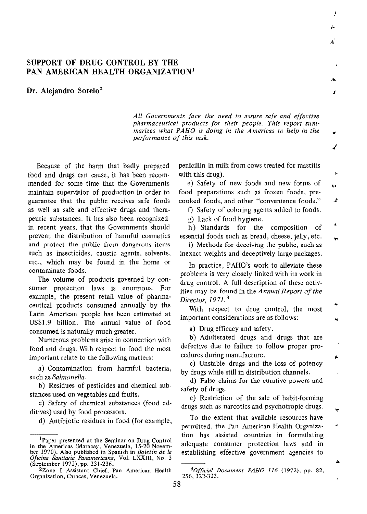## SUPPORT OF DRUG CONTROL BY THE PAN AMERICAN HEALTH ORGANIZATION'

Dr. Alejandro Sotelo<sup>2</sup>

All Governments face the need to assure safe and effective pharmaceutical products for their people. This report summarizes what PAHO is doing in the Americas to help in the performance of this task.

į.

ý.

۷

Because of the harm that badly prepared food and drugs can cause, it has been recommended for some time that the Governments maintain supervision of production in order to guarantee that the public receives safe foods as well as safe and effective drugs and therapeutic substances. It has also been recognized in recent years, that the Governments should prevent the distribution of harmful cosmetics and protect the public from dangerous items such as insecticides, caustic agents, solvents, etc., which may be found in the home or contaminate foods.

The volume of products governed by consumer protection laws is enormous. For example, the present retail value of pharmaceutical products consumed annually by the Latin American people has been estimated at US\$1.9 billion. The annual value of food consumed is naturally much greater.

Numerous problems arise in connection with food and drugs. With respect to food the most important relate to the following matters:

a) Contamination from harmful bacteria, such as Salmonella.

b) Residues of pesticides and chemical substances used on vegetables and fruits.

c) Safety of chemical substances (food additives) used by food processors.

d) Antibiotic residues in food (for example,

penicillin in milk from cows treated for mastitis with this drug).

e) Safety of new foods and new forms of food preparations such as frozen foods, precooked foods, and other "convenience foods." ×

f) Safety of coloring agents added to foods.

g) Lack of food hygiene.

h) Standards for the composition of essential foods such as bread, cheese, jelly, etc.

i) Methods for deceiving the public, such as inexact weights and deceptively large packages.

In practice, PAHO's work to alleviate these problems is very closely linked with its work in drug control. A full description of these activities may be found in the Annual Report of the Director, 1971.<sup>3</sup>

With respect to drug control, the most important considerations are as follows:

a) Drug efficacy and safety.

b) Adulterated drugs and drugs that are defective due to failure to follow proper procedures during manufacture.

c) Unstable drugs and the loss of potency by drugs while still in distribution channels.

d) False claims for the curative powers and safety of drugs.

e) Restriction of the sale of habit-forming drugs such as narcotics and psychotropic drugs.

To the extent that available resources have permitted, the Pan American Health Organization has assisted countries in formulating adequate consumer protection laws and in establishing effective government agencies to

<sup>&</sup>lt;sup>1</sup>Paper presented at the Seminar on Drug Control<br>in the Americas (Maracay, Venezuela, 15-20 Novem-<br>ber 1970). Also published in Spanish in *Boletin de la* Oficina Sanitaria Panamericana, Vol. LXXIII, No. 3 (September 1972), pp. 231-236.'

<sup>&</sup>lt;sup>2</sup>Zone I Assistant Chief, Pan American Health <sup>3</sup>Official Document<br>Organization, Caracas, Venezuela. 256, 322-323.

 $3$ Official Document PAHO 116 (1972), pp. 82,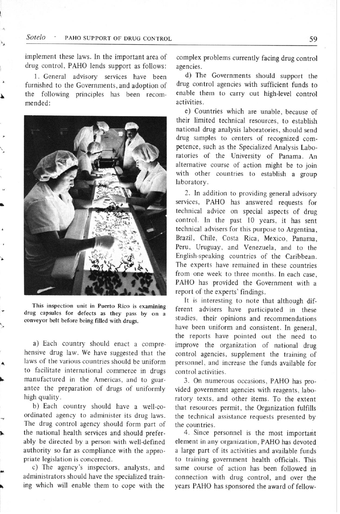implement these laws. In the important area of drug control, PAHO lends support as follows:

1. General advisory services have been furnished to the Governments, and adoption of the following principles has been recommended:



This inspection unit in Puerto Rico is examining drug capsules for defects as they pass by on a conveyor belt before being filled with drugs.

a) Each country should enact a comprehensive drug law. We have suggested that the laws of the various countries should be uniform to facilitate international commerce in drugs manufactured in the Americas, and to guarantee the preparation of drugs of uniformly high quality.

b) Each country should have a well-coordinated agency to administer its drug laws. The drug control agency should form part of the national health services and should preferably be directed by a person with well-defined authority so far as compliance with the appropriate legislation is concerned.

c) The agency's inspectors, analysts, and administrators should have the specialized training which will enable them to cope with the

complex problems currently facing drug control agencies.

d) The Governments should support the drug control agencies with sufficient funds to enable them to carry out high-level control activities.

e) Countries which are unable, because of their limited technical resources, to establish national drug analysis laboratories, should send drug samples to centers of recognized competence, such as the Specialized Analysis Laboratories of the University of Panama. An alternative course of action might be to join with other countries to establish a group laboratory.

2. In addition to providing general advisory services, PAHO has answered requests for technical advice on special aspects of drug control. In the past 10 years, it has sent technical advisers for this purpose to Argentina, Brazil, Chile, Costa Rica, Mexico, Panama, Peru, Uruguay, and Venezuela, and to the English-speaking countries of the Caribbean. The experts have remained in these countries from one week to three months. In each case, PAHO has provided the Government with a report of the experts' findings.

It is interesting to note that although different advisers have participated in these studies, their opinions and recommendations have been uniform and consistent. In general, the reports have pointed out the need to improve the organization of national drug control agencies, supplement the training of personnel, and increase the funds available for control activities.

3. On numerous occasions, PAHO has provided government agencies with reagents, laboratory texts, and other items. To the extent that resources permit, the Organization fulfills the technical assistance requests presented by the countries.

4. Since personnel is the most important element in any organization, PAHO has devoted a large part of its activities and available funds to training government health officials. This same course of action has been followed in connection with drug control, and over the years PAHO has sponsored the award of fellow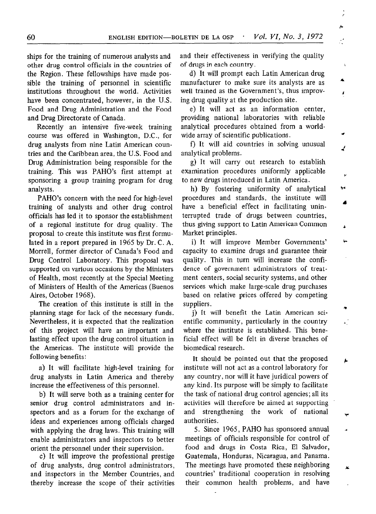ships for the training of numerous analysts and other drug control officials in the countries of the Region. These fellowships have made possible the training of personnel in scientific institutions throughout the world. Activities have been concentrated, however, in the U.S. Food and Drug Administration and the Food and Drug Directorate of Canada.

Recently an intensive five-week training course was offered in Washington, D.C., for drug analysts from nine Latin American countries and the Caribbean area, the U.S. Food and Drug Administration being responsible for the training. This was PAHO's first attempt at sponsoring a group training program for drug analysts.

PAHO's concern with the need for high-level training of analysts and other drug control officials has led it to sponsor the establishment of a regional institute for drug quality. The proposal to create this institute was first formulated in a report prepared in 1965 by Dr. C. A. Morrell, former director of Canada's Food and Drug Control Laboratory. This proposal was supported on various occasions by the Ministers of Health, most recently at the Special Meeting of Ministers of Health of the Americas (Buenos Aires, October 1968).

The creation of this institute is still in the planning stage for lack of the necessary funds. Nevertheless, it is expected that the realization of this project will have an important and lasting effect upon the drug control situation in the Americas. The institute will provide the following benefits:

a) It will facilitate high-level training for drug analysts in Latin America and thereby increase the effectiveness of this personnel.

b) It will serve both as a training center for senior drug control administrators and inspectors and as a forum for the exchange of ideas and experiences among officials charged with applying the drug laws. This training will enable administrators and inspectors to better orient the personnel under their supervision.

c) It will improve the professional prestige of drug analysts, drug control administrators, and inspectors in the Member Countries, and thereby increase the scope of their activities and their effectiveness in verifying the quality of drugs in each country.

۸

x

۸

ĸ

d) It will prompt each Latin American drug manufacturer to make sure its analysts are as well trained as the Government's, thus improving drug quality at the production site.

e) It will act as an information center, providing national laboratories with reliable analytical procedures obtained from a worldwide array of scientific publications.

f) It will aid countries in solving unusual analytical problems.

g) It will carry out research to establish examination procedures uniformly applicable to new drugs introduced in Latin America.

h) By fostering uniformity of analytical procedures and standards, the institute will have a beneficial effect in facilitating uninterrupted trade of drugs between countries, thus giving support to Latin American Common Market principles.

i) It will improve Member Governments' capacity to examine drugs and guarantee their quality. This in turn will increase the confidence of government administrators of treatment centers, social security systems, and other services which make large-scale drug purchases based on relative prices offered by competing suppliers.

j) It will benefit the Latin American scientific community, particularly in the country where the institute is established. This beneficial effect will be felt in diverse branches of biomedical research.

It should be pointed out that the proposed institute will not act as a control laboratory for any country, nor will it have juridical powers of any kind. Its purpose will be simply to facilitate the task of national drug control agencies; all its activities will therefore be aimed at supporting and strengthening the work of national authorities.

5. Since 1965, PAHO has sponsored annual meetings of officials responsible for control of food and drugs in Costa Rica, El Salvador, Guatemala, Honduras, Nicaragua, and Panama. The meetings have promoted these neighboring countries' traditional cooperation in resolving their common health problems, and have